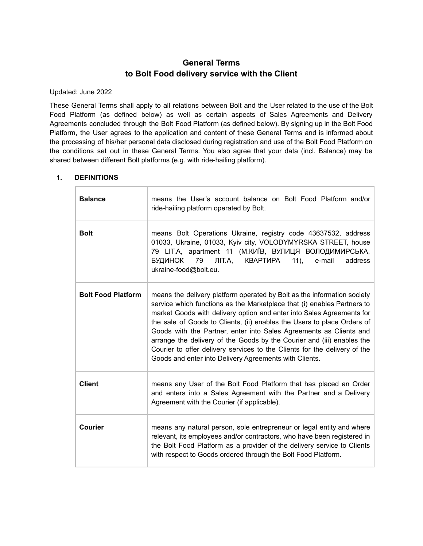# **General Terms to Bolt Food delivery service with the Client**

#### Updated: June 2022

These General Terms shall apply to all relations between Bolt and the User related to the use of the Bolt Food Platform (as defined below) as well as certain aspects of Sales Agreements and Delivery Agreements concluded through the Bolt Food Platform (as defined below). By signing up in the Bolt Food Platform, the User agrees to the application and content of these General Terms and is informed about the processing of his/her personal data disclosed during registration and use of the Bolt Food Platform on the conditions set out in these General Terms. You also agree that your data (incl. Balance) may be shared between different Bolt platforms (e.g. with ride-hailing platform).

# **Balance health Food Platform and/or Balance on Bolt Food Platform and/or** ride-hailing platform operated by Bolt. **Bolt** means Bolt Operations Ukraine, registry code 43637532, address 01033, Ukraine, 01033, Kyiv city, VOLODYMYRSKA STREET, house 79 LIT.A, apartment 11 (М.КИЇВ, ВУЛИЦЯ ВОЛОДИМИРСЬКА, БУДИНОК 79 ЛІТ.А, КВАРТИРА 11), e-mail address ukraine-food@bolt.eu. **Bolt Food Platform** means the delivery platform operated by Bolt as the information society service which functions as the Marketplace that (i) enables Partners to market Goods with delivery option and enter into Sales Agreements for the sale of Goods to Clients, (ii) enables the Users to place Orders of Goods with the Partner, enter into Sales Agreements as Clients and arrange the delivery of the Goods by the Courier and (iii) enables the Courier to offer delivery services to the Clients for the delivery of the Goods and enter into Delivery Agreements with Clients. **Client** means any User of the Bolt Food Platform that has placed an Order and enters into a Sales Agreement with the Partner and a Delivery Agreement with the Courier (if applicable). **Courier** means any natural person, sole entrepreneur or legal entity and where relevant, its employees and/or contractors, who have been registered in the Bolt Food Platform as a provider of the delivery service to Clients with respect to Goods ordered through the Bolt Food Platform.

## **1. DEFINITIONS**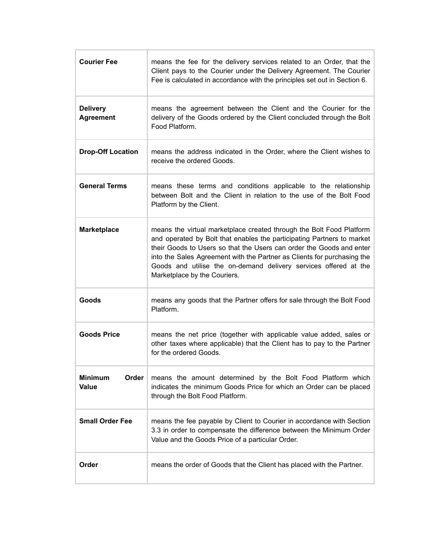| <b>Courier Fee</b>                      | means the fee for the delivery services related to an Order, that the<br>Client pays to the Courier under the Delivery Agreement. The Courier<br>Fee is calculated in accordance with the principles set out in Section 6.                                                                                                                                                                            |
|-----------------------------------------|-------------------------------------------------------------------------------------------------------------------------------------------------------------------------------------------------------------------------------------------------------------------------------------------------------------------------------------------------------------------------------------------------------|
| <b>Delivery</b><br><b>Agreement</b>     | means the agreement between the Client and the Courier for the<br>delivery of the Goods ordered by the Client concluded through the Bolt<br>Food Platform.                                                                                                                                                                                                                                            |
| <b>Drop-Off Location</b>                | means the address indicated in the Order, where the Client wishes to<br>receive the ordered Goods.                                                                                                                                                                                                                                                                                                    |
| <b>General Terms</b>                    | means these terms and conditions applicable to the relationship<br>between Bolt and the Client in relation to the use of the Bolt Food<br>Platform by the Client.                                                                                                                                                                                                                                     |
| <b>Marketplace</b>                      | means the virtual marketplace created through the Bolt Food Platform<br>and operated by Bolt that enables the participating Partners to market<br>their Goods to Users so that the Users can order the Goods and enter<br>into the Sales Agreement with the Partner as Clients for purchasing the<br>Goods and utilise the on-demand delivery services offered at the<br>Marketplace by the Couriers. |
| Goods                                   | means any goods that the Partner offers for sale through the Bolt Food<br>Platform.                                                                                                                                                                                                                                                                                                                   |
| <b>Goods Price</b>                      | means the net price (together with applicable value added, sales or<br>other taxes where applicable) that the Client has to pay to the Partner<br>for the ordered Goods.                                                                                                                                                                                                                              |
| <b>Minimum</b><br>Order<br><b>Value</b> | means the amount determined by the Bolt Food Platform which<br>indicates the minimum Goods Price for which an Order can be placed<br>through the Bolt Food Platform.                                                                                                                                                                                                                                  |
| <b>Small Order Fee</b>                  | means the fee payable by Client to Courier in accordance with Section<br>3.3 in order to compensate the difference between the Minimum Order<br>Value and the Goods Price of a particular Order.                                                                                                                                                                                                      |
| Order                                   | means the order of Goods that the Client has placed with the Partner.                                                                                                                                                                                                                                                                                                                                 |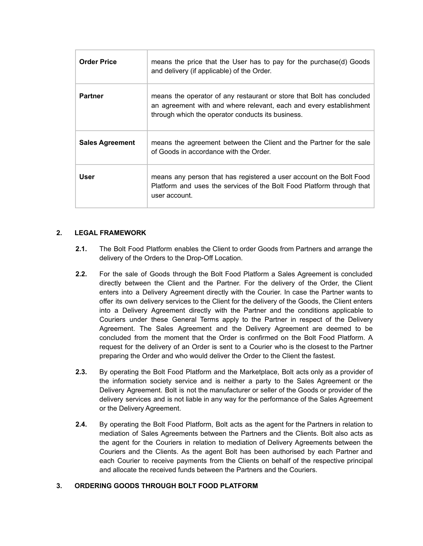| <b>Order Price</b>     | means the price that the User has to pay for the purchase(d) Goods<br>and delivery (if applicable) of the Order.                                                                                 |
|------------------------|--------------------------------------------------------------------------------------------------------------------------------------------------------------------------------------------------|
| <b>Partner</b>         | means the operator of any restaurant or store that Bolt has concluded<br>an agreement with and where relevant, each and every establishment<br>through which the operator conducts its business. |
| <b>Sales Agreement</b> | means the agreement between the Client and the Partner for the sale<br>of Goods in accordance with the Order.                                                                                    |
| User                   | means any person that has registered a user account on the Bolt Food<br>Platform and uses the services of the Bolt Food Platform through that<br>user account.                                   |

## **2. LEGAL FRAMEWORK**

- **2.1.** The Bolt Food Platform enables the Client to order Goods from Partners and arrange the delivery of the Orders to the Drop-Off Location.
- **2.2.** For the sale of Goods through the Bolt Food Platform a Sales Agreement is concluded directly between the Client and the Partner. For the delivery of the Order, the Client enters into a Delivery Agreement directly with the Courier. In case the Partner wants to offer its own delivery services to the Client for the delivery of the Goods, the Client enters into a Delivery Agreement directly with the Partner and the conditions applicable to Couriers under these General Terms apply to the Partner in respect of the Delivery Agreement. The Sales Agreement and the Delivery Agreement are deemed to be concluded from the moment that the Order is confirmed on the Bolt Food Platform. A request for the delivery of an Order is sent to a Courier who is the closest to the Partner preparing the Order and who would deliver the Order to the Client the fastest.
- **2.3.** By operating the Bolt Food Platform and the Marketplace, Bolt acts only as a provider of the information society service and is neither a party to the Sales Agreement or the Delivery Agreement. Bolt is not the manufacturer or seller of the Goods or provider of the delivery services and is not liable in any way for the performance of the Sales Agreement or the Delivery Agreement.
- **2.4.** By operating the Bolt Food Platform, Bolt acts as the agent for the Partners in relation to mediation of Sales Agreements between the Partners and the Clients. Bolt also acts as the agent for the Couriers in relation to mediation of Delivery Agreements between the Couriers and the Clients. As the agent Bolt has been authorised by each Partner and each Courier to receive payments from the Clients on behalf of the respective principal and allocate the received funds between the Partners and the Couriers.

## **3. ORDERING GOODS THROUGH BOLT FOOD PLATFORM**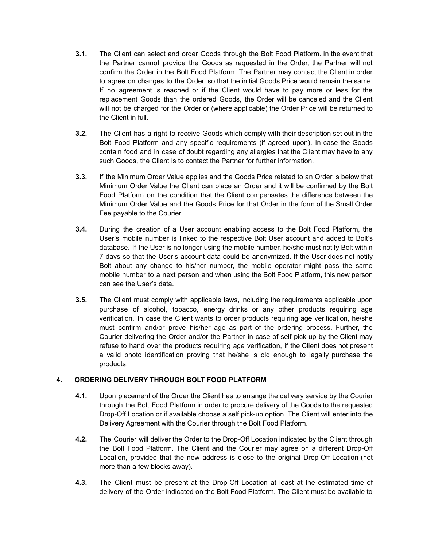- **3.1.** The Client can select and order Goods through the Bolt Food Platform. In the event that the Partner cannot provide the Goods as requested in the Order, the Partner will not confirm the Order in the Bolt Food Platform. The Partner may contact the Client in order to agree on changes to the Order, so that the initial Goods Price would remain the same. If no agreement is reached or if the Client would have to pay more or less for the replacement Goods than the ordered Goods, the Order will be canceled and the Client will not be charged for the Order or (where applicable) the Order Price will be returned to the Client in full.
- **3.2.** The Client has a right to receive Goods which comply with their description set out in the Bolt Food Platform and any specific requirements (if agreed upon). In case the Goods contain food and in case of doubt regarding any allergies that the Client may have to any such Goods, the Client is to contact the Partner for further information.
- **3.3.** If the Minimum Order Value applies and the Goods Price related to an Order is below that Minimum Order Value the Client can place an Order and it will be confirmed by the Bolt Food Platform on the condition that the Client compensates the difference between the Minimum Order Value and the Goods Price for that Order in the form of the Small Order Fee payable to the Courier.
- **3.4.** During the creation of a User account enabling access to the Bolt Food Platform, the User's mobile number is linked to the respective Bolt User account and added to Bolt's database. If the User is no longer using the mobile number, he/she must notify Bolt within 7 days so that the User's account data could be anonymized. If the User does not notify Bolt about any change to his/her number, the mobile operator might pass the same mobile number to a next person and when using the Bolt Food Platform, this new person can see the User's data.
- **3.5.** The Client must comply with applicable laws, including the requirements applicable upon purchase of alcohol, tobacco, energy drinks or any other products requiring age verification. In case the Client wants to order products requiring age verification, he/she must confirm and/or prove his/her age as part of the ordering process. Further, the Courier delivering the Order and/or the Partner in case of self pick-up by the Client may refuse to hand over the products requiring age verification, if the Client does not present a valid photo identification proving that he/she is old enough to legally purchase the products.

## **4. ORDERING DELIVERY THROUGH BOLT FOOD PLATFORM**

- **4.1.** Upon placement of the Order the Client has to arrange the delivery service by the Courier through the Bolt Food Platform in order to procure delivery of the Goods to the requested Drop-Off Location or if available choose a self pick-up option. The Client will enter into the Delivery Agreement with the Courier through the Bolt Food Platform.
- **4.2.** The Courier will deliver the Order to the Drop-Off Location indicated by the Client through the Bolt Food Platform. The Client and the Courier may agree on a different Drop-Off Location, provided that the new address is close to the original Drop-Off Location (not more than a few blocks away).
- **4.3.** The Client must be present at the Drop-Off Location at least at the estimated time of delivery of the Order indicated on the Bolt Food Platform. The Client must be available to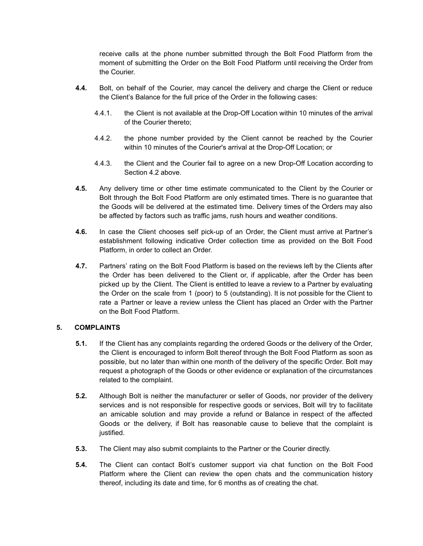receive calls at the phone number submitted through the Bolt Food Platform from the moment of submitting the Order on the Bolt Food Platform until receiving the Order from the Courier.

- **4.4.** Bolt, on behalf of the Courier, may cancel the delivery and charge the Client or reduce the Client's Balance for the full price of the Order in the following cases:
	- 4.4.1. the Client is not available at the Drop-Off Location within 10 minutes of the arrival of the Courier thereto;
	- 4.4.2. the phone number provided by the Client cannot be reached by the Courier within 10 minutes of the Courier's arrival at the Drop-Off Location; or
	- 4.4.3. the Client and the Courier fail to agree on a new Drop-Off Location according to Section 4.2 above.
- **4.5.** Any delivery time or other time estimate communicated to the Client by the Courier or Bolt through the Bolt Food Platform are only estimated times. There is no guarantee that the Goods will be delivered at the estimated time. Delivery times of the Orders may also be affected by factors such as traffic jams, rush hours and weather conditions.
- **4.6.** In case the Client chooses self pick-up of an Order, the Client must arrive at Partner's establishment following indicative Order collection time as provided on the Bolt Food Platform, in order to collect an Order.
- **4.7.** Partners' rating on the Bolt Food Platform is based on the reviews left by the Clients after the Order has been delivered to the Client or, if applicable, after the Order has been picked up by the Client. The Client is entitled to leave a review to a Partner by evaluating the Order on the scale from 1 (poor) to 5 (outstanding). It is not possible for the Client to rate a Partner or leave a review unless the Client has placed an Order with the Partner on the Bolt Food Platform.

## **5. COMPLAINTS**

- **5.1.** If the Client has any complaints regarding the ordered Goods or the delivery of the Order, the Client is encouraged to inform Bolt thereof through the Bolt Food Platform as soon as possible, but no later than within one month of the delivery of the specific Order. Bolt may request a photograph of the Goods or other evidence or explanation of the circumstances related to the complaint.
- **5.2.** Although Bolt is neither the manufacturer or seller of Goods, nor provider of the delivery services and is not responsible for respective goods or services, Bolt will try to facilitate an amicable solution and may provide a refund or Balance in respect of the affected Goods or the delivery, if Bolt has reasonable cause to believe that the complaint is justified.
- **5.3.** The Client may also submit complaints to the Partner or the Courier directly.
- **5.4.** The Client can contact Bolt's customer support via chat function on the Bolt Food Platform where the Client can review the open chats and the communication history thereof, including its date and time, for 6 months as of creating the chat.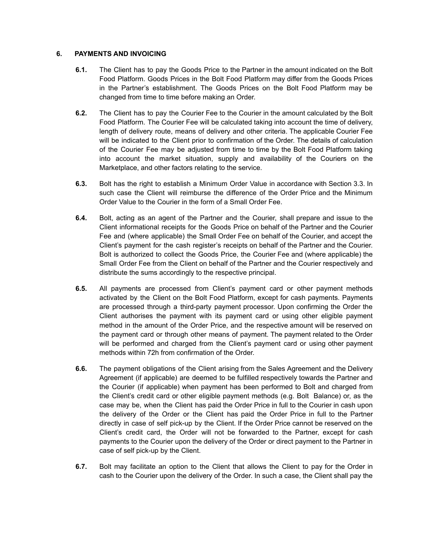#### **6. PAYMENTS AND INVOICING**

- **6.1.** The Client has to pay the Goods Price to the Partner in the amount indicated on the Bolt Food Platform. Goods Prices in the Bolt Food Platform may differ from the Goods Prices in the Partner's establishment. The Goods Prices on the Bolt Food Platform may be changed from time to time before making an Order.
- **6.2.** The Client has to pay the Courier Fee to the Courier in the amount calculated by the Bolt Food Platform. The Courier Fee will be calculated taking into account the time of delivery, length of delivery route, means of delivery and other criteria. The applicable Courier Fee will be indicated to the Client prior to confirmation of the Order. The details of calculation of the Courier Fee may be adjusted from time to time by the Bolt Food Platform taking into account the market situation, supply and availability of the Couriers on the Marketplace, and other factors relating to the service.
- **6.3.** Bolt has the right to establish a Minimum Order Value in accordance with Section 3.3. In such case the Client will reimburse the difference of the Order Price and the Minimum Order Value to the Courier in the form of a Small Order Fee.
- **6.4.** Bolt, acting as an agent of the Partner and the Courier, shall prepare and issue to the Client informational receipts for the Goods Price on behalf of the Partner and the Courier Fee and (where applicable) the Small Order Fee on behalf of the Courier, and accept the Client's payment for the cash register's receipts on behalf of the Partner and the Courier. Bolt is authorized to collect the Goods Price, the Courier Fee and (where applicable) the Small Order Fee from the Client on behalf of the Partner and the Courier respectively and distribute the sums accordingly to the respective principal.
- **6.5.** All payments are processed from Client's payment card or other payment methods activated by the Client on the Bolt Food Platform, except for cash payments. Payments are processed through a third-party payment processor. Upon confirming the Order the Client authorises the payment with its payment card or using other eligible payment method in the amount of the Order Price, and the respective amount will be reserved on the payment card or through other means of payment. The payment related to the Order will be performed and charged from the Client's payment card or using other payment methods within 72h from confirmation of the Order.
- **6.6.** The payment obligations of the Client arising from the Sales Agreement and the Delivery Agreement (if applicable) are deemed to be fulfilled respectively towards the Partner and the Courier (if applicable) when payment has been performed to Bolt and charged from the Client's credit card or other eligible payment methods (e.g. Bolt Balance) or, as the case may be, when the Client has paid the Order Price in full to the Courier in cash upon the delivery of the Order or the Client has paid the Order Price in full to the Partner directly in case of self pick-up by the Client. If the Order Price cannot be reserved on the Client's credit card, the Order will not be forwarded to the Partner, except for cash payments to the Courier upon the delivery of the Order or direct payment to the Partner in case of self pick-up by the Client.
- **6.7.** Bolt may facilitate an option to the Client that allows the Client to pay for the Order in cash to the Courier upon the delivery of the Order. In such a case, the Client shall pay the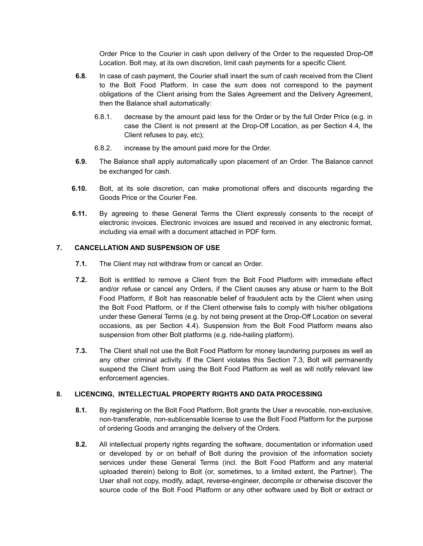Order Price to the Courier in cash upon delivery of the Order to the requested Drop-Off Location. Bolt may, at its own discretion, limit cash payments for a specific Client.

- **6.8.** In case of cash payment, the Courier shall insert the sum of cash received from the Client to the Bolt Food Platform. In case the sum does not correspond to the payment obligations of the Client arising from the Sales Agreement and the Delivery Agreement, then the Balance shall automatically:
	- 6.8.1. decrease by the amount paid less for the Order or by the full Order Price (e.g. in case the Client is not present at the Drop-Off Location, as per Section 4.4, the Client refuses to pay, etc);
	- 6.8.2. increase by the amount paid more for the Order.
- **6.9.** The Balance shall apply automatically upon placement of an Order. The Balance cannot be exchanged for cash.
- **6.10.** Bolt, at its sole discretion, can make promotional offers and discounts regarding the Goods Price or the Courier Fee.
- **6.11.** By agreeing to these General Terms the Client expressly consents to the receipt of electronic invoices. Electronic invoices are issued and received in any electronic format, including via email with a document attached in PDF form.

## **7. CANCELLATION AND SUSPENSION OF USE**

- **7.1.** The Client may not withdraw from or cancel an Order.
- **7.2.** Bolt is entitled to remove a Client from the Bolt Food Platform with immediate effect and/or refuse or cancel any Orders, if the Client causes any abuse or harm to the Bolt Food Platform, if Bolt has reasonable belief of fraudulent acts by the Client when using the Bolt Food Platform, or if the Client otherwise fails to comply with his/her obligations under these General Terms (e.g. by not being present at the Drop-Off Location on several occasions, as per Section 4.4). Suspension from the Bolt Food Platform means also suspension from other Bolt platforms (e.g. ride-hailing platform).
- **7.3.** The Client shall not use the Bolt Food Platform for money laundering purposes as well as any other criminal activity. If the Client violates this Section 7.3, Bolt will permanently suspend the Client from using the Bolt Food Platform as well as will notify relevant law enforcement agencies.

## **8. LICENCING, INTELLECTUAL PROPERTY RIGHTS AND DATA PROCESSING**

- **8.1.** By registering on the Bolt Food Platform, Bolt grants the User a revocable, non-exclusive, non-transferable, non-sublicensable license to use the Bolt Food Platform for the purpose of ordering Goods and arranging the delivery of the Orders.
- **8.2.** All intellectual property rights regarding the software, documentation or information used or developed by or on behalf of Bolt during the provision of the information society services under these General Terms (incl. the Bolt Food Platform and any material uploaded therein) belong to Bolt (or, sometimes, to a limited extent, the Partner). The User shall not copy, modify, adapt, reverse-engineer, decompile or otherwise discover the source code of the Bolt Food Platform or any other software used by Bolt or extract or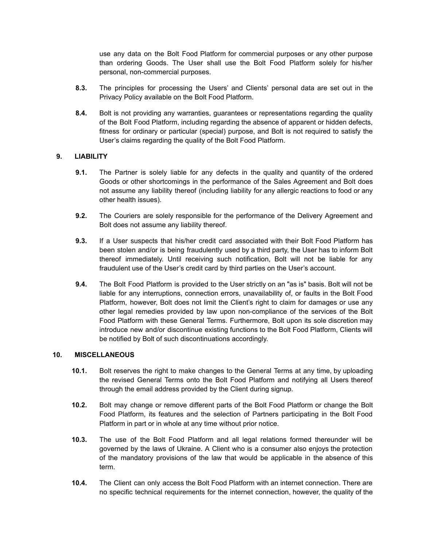use any data on the Bolt Food Platform for commercial purposes or any other purpose than ordering Goods. The User shall use the Bolt Food Platform solely for his/her personal, non-commercial purposes.

- **8.3.** The principles for processing the Users' and Clients' personal data are set out in the Privacy Policy available on the Bolt Food Platform.
- **8.4.** Bolt is not providing any warranties, guarantees or representations regarding the quality of the Bolt Food Platform, including regarding the absence of apparent or hidden defects, fitness for ordinary or particular (special) purpose, and Bolt is not required to satisfy the User's claims regarding the quality of the Bolt Food Platform.

#### **9. LIABILITY**

- **9.1.** The Partner is solely liable for any defects in the quality and quantity of the ordered Goods or other shortcomings in the performance of the Sales Agreement and Bolt does not assume any liability thereof (including liability for any allergic reactions to food or any other health issues).
- **9.2.** The Couriers are solely responsible for the performance of the Delivery Agreement and Bolt does not assume any liability thereof.
- **9.3.** If a User suspects that his/her credit card associated with their Bolt Food Platform has been stolen and/or is being fraudulently used by a third party, the User has to inform Bolt thereof immediately. Until receiving such notification, Bolt will not be liable for any fraudulent use of the User's credit card by third parties on the User's account.
- **9.4.** The Bolt Food Platform is provided to the User strictly on an "as is" basis. Bolt will not be liable for any interruptions, connection errors, unavailability of, or faults in the Bolt Food Platform, however, Bolt does not limit the Client's right to claim for damages or use any other legal remedies provided by law upon non-compliance of the services of the Bolt Food Platform with these General Terms. Furthermore, Bolt upon its sole discretion may introduce new and/or discontinue existing functions to the Bolt Food Platform, Clients will be notified by Bolt of such discontinuations accordingly.

# **10. MISCELLANEOUS**

- **10.1.** Bolt reserves the right to make changes to the General Terms at any time, by uploading the revised General Terms onto the Bolt Food Platform and notifying all Users thereof through the email address provided by the Client during signup.
- **10.2.** Bolt may change or remove different parts of the Bolt Food Platform or change the Bolt Food Platform, its features and the selection of Partners participating in the Bolt Food Platform in part or in whole at any time without prior notice.
- **10.3.** The use of the Bolt Food Platform and all legal relations formed thereunder will be governed by the laws of Ukraine. A Client who is a consumer also enjoys the protection of the mandatory provisions of the law that would be applicable in the absence of this term.
- **10.4.** The Client can only access the Bolt Food Platform with an internet connection. There are no specific technical requirements for the internet connection, however, the quality of the